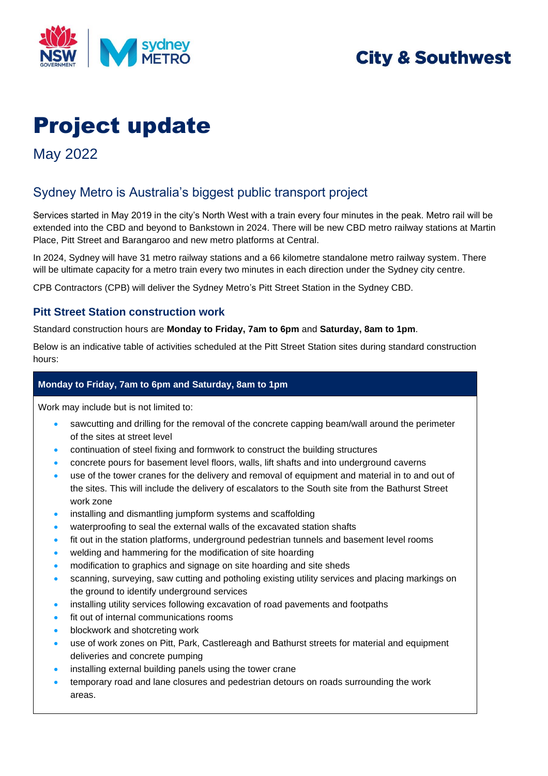

## **City & Southwest**

# Project update

May 2022

## Sydney Metro is Australia's biggest public transport project

Services started in May 2019 in the city's North West with a train every four minutes in the peak. Metro rail will be extended into the CBD and beyond to Bankstown in 2024. There will be new CBD metro railway stations at Martin Place, Pitt Street and Barangaroo and new metro platforms at Central.

In 2024, Sydney will have 31 metro railway stations and a 66 kilometre standalone metro railway system. There will be ultimate capacity for a metro train every two minutes in each direction under the Sydney city centre.

CPB Contractors (CPB) will deliver the Sydney Metro's Pitt Street Station in the Sydney CBD.

#### **Pitt Street Station construction work**

Standard construction hours are **Monday to Friday, 7am to 6pm** and **Saturday, 8am to 1pm**.

Below is an indicative table of activities scheduled at the Pitt Street Station sites during standard construction hours:

#### **Monday to Friday, 7am to 6pm and Saturday, 8am to 1pm**

Work may include but is not limited to:

- sawcutting and drilling for the removal of the concrete capping beam/wall around the perimeter of the sites at street level
- continuation of steel fixing and formwork to construct the building structures
- concrete pours for basement level floors, walls, lift shafts and into underground caverns
- use of the tower cranes for the delivery and removal of equipment and material in to and out of the sites. This will include the delivery of escalators to the South site from the Bathurst Street work zone
- installing and dismantling jumpform systems and scaffolding
- waterproofing to seal the external walls of the excavated station shafts
- fit out in the station platforms, underground pedestrian tunnels and basement level rooms
- welding and hammering for the modification of site hoarding
- modification to graphics and signage on site hoarding and site sheds
- scanning, surveying, saw cutting and potholing existing utility services and placing markings on the ground to identify underground services
- installing utility services following excavation of road pavements and footpaths
- fit out of internal communications rooms
- blockwork and shotcreting work
- use of work zones on Pitt, Park, Castlereagh and Bathurst streets for material and equipment deliveries and concrete pumping
- installing external building panels using the tower crane
- temporary road and lane closures and pedestrian detours on roads surrounding the work areas.